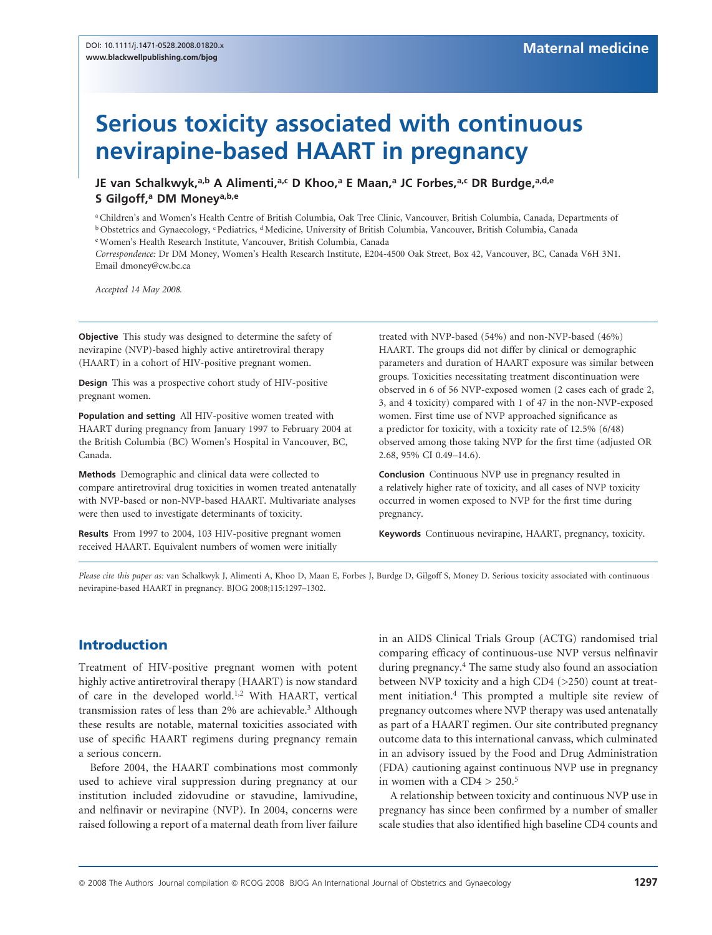# Serious toxicity associated with continuous nevirapine-based HAART in pregnancy

JE van Schalkwyk,<sup>a,b</sup> A Alimenti,<sup>a,c</sup> D Khoo,<sup>a</sup> E Maan,<sup>a</sup> JC Forbes,<sup>a,c</sup> DR Burdge,<sup>a,d,e</sup> S Gilgoff,<sup>a</sup> DM Money<sup>a,b,e</sup>

<sup>a</sup> Children's and Women's Health Centre of British Columbia, Oak Tree Clinic, Vancouver, British Columbia, Canada, Departments of <sup>b</sup> Obstetrics and Gynaecology, <sup>c</sup> Pediatrics, <sup>d</sup> Medicine, University of British Columbia, Vancouver, British Columbia, Canada <sup>e</sup> Women's Health Research Institute, Vancouver, British Columbia, Canada

Correspondence: Dr DM Money, Women's Health Research Institute, E204-4500 Oak Street, Box 42, Vancouver, BC, Canada V6H 3N1. Email dmoney@cw.bc.ca

Accepted 14 May 2008.

Objective This study was designed to determine the safety of nevirapine (NVP)-based highly active antiretroviral therapy (HAART) in a cohort of HIV-positive pregnant women.

Design This was a prospective cohort study of HIV-positive pregnant women.

Population and setting All HIV-positive women treated with HAART during pregnancy from January 1997 to February 2004 at the British Columbia (BC) Women's Hospital in Vancouver, BC, Canada.

Methods Demographic and clinical data were collected to compare antiretroviral drug toxicities in women treated antenatally with NVP-based or non-NVP-based HAART. Multivariate analyses were then used to investigate determinants of toxicity.

Results From 1997 to 2004, 103 HIV-positive pregnant women received HAART. Equivalent numbers of women were initially

treated with NVP-based (54%) and non-NVP-based (46%) HAART. The groups did not differ by clinical or demographic parameters and duration of HAART exposure was similar between groups. Toxicities necessitating treatment discontinuation were observed in 6 of 56 NVP-exposed women (2 cases each of grade 2, 3, and 4 toxicity) compared with 1 of 47 in the non-NVP-exposed women. First time use of NVP approached significance as a predictor for toxicity, with a toxicity rate of 12.5% (6/48) observed among those taking NVP for the first time (adjusted OR 2.68, 95% CI 0.49–14.6).

Conclusion Continuous NVP use in pregnancy resulted in a relatively higher rate of toxicity, and all cases of NVP toxicity occurred in women exposed to NVP for the first time during pregnancy.

Keywords Continuous nevirapine, HAART, pregnancy, toxicity.

Please cite this paper as: van Schalkwyk J, Alimenti A, Khoo D, Maan E, Forbes J, Burdge D, Gilgoff S, Money D. Serious toxicity associated with continuous nevirapine-based HAART in pregnancy. BJOG 2008;115:1297–1302.

# Introduction

Treatment of HIV-positive pregnant women with potent highly active antiretroviral therapy (HAART) is now standard of care in the developed world.1,2 With HAART, vertical transmission rates of less than 2% are achievable.<sup>3</sup> Although these results are notable, maternal toxicities associated with use of specific HAART regimens during pregnancy remain a serious concern.

Before 2004, the HAART combinations most commonly used to achieve viral suppression during pregnancy at our institution included zidovudine or stavudine, lamivudine, and nelfinavir or nevirapine (NVP). In 2004, concerns were raised following a report of a maternal death from liver failure in an AIDS Clinical Trials Group (ACTG) randomised trial comparing efficacy of continuous-use NVP versus nelfinavir during pregnancy.<sup>4</sup> The same study also found an association between NVP toxicity and a high CD4 (>250) count at treatment initiation.4 This prompted a multiple site review of pregnancy outcomes where NVP therapy was used antenatally as part of a HAART regimen. Our site contributed pregnancy outcome data to this international canvass, which culminated in an advisory issued by the Food and Drug Administration (FDA) cautioning against continuous NVP use in pregnancy in women with a  $CD4 > 250$ .<sup>5</sup>

A relationship between toxicity and continuous NVP use in pregnancy has since been confirmed by a number of smaller scale studies that also identified high baseline CD4 counts and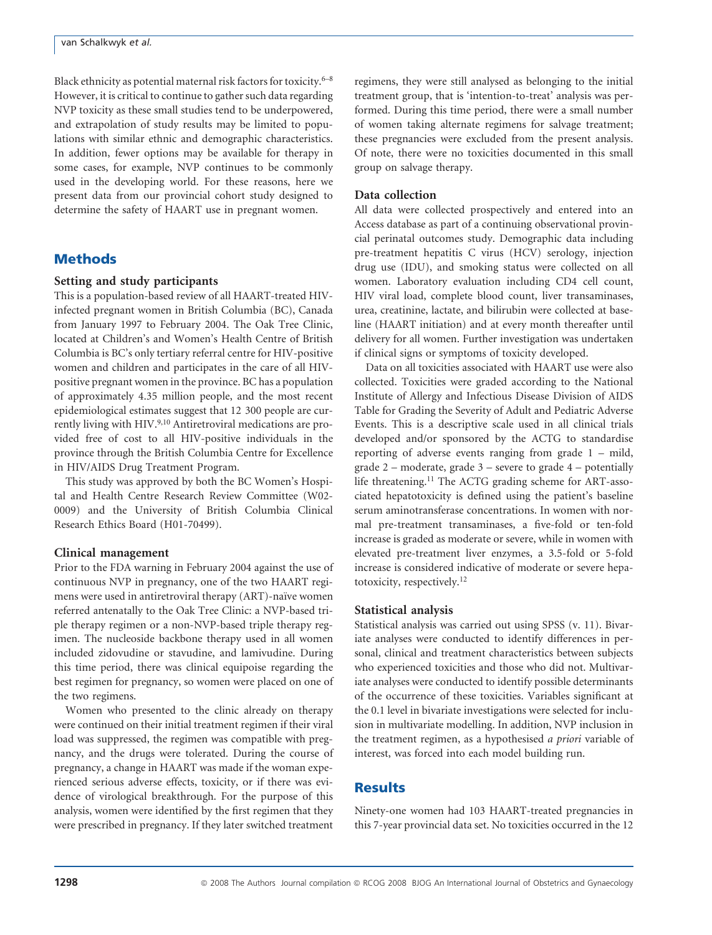Black ethnicity as potential maternal risk factors for toxicity. $6-8$ However, it is critical to continue to gather such data regarding NVP toxicity as these small studies tend to be underpowered, and extrapolation of study results may be limited to populations with similar ethnic and demographic characteristics. In addition, fewer options may be available for therapy in some cases, for example, NVP continues to be commonly used in the developing world. For these reasons, here we present data from our provincial cohort study designed to determine the safety of HAART use in pregnant women.

### **Methods**

#### Setting and study participants

This is a population-based review of all HAART-treated HIVinfected pregnant women in British Columbia (BC), Canada from January 1997 to February 2004. The Oak Tree Clinic, located at Children's and Women's Health Centre of British Columbia is BC's only tertiary referral centre for HIV-positive women and children and participates in the care of all HIVpositive pregnant women in the province. BC has a population of approximately 4.35 million people, and the most recent epidemiological estimates suggest that 12 300 people are currently living with HIV.<sup>9,10</sup> Antiretroviral medications are provided free of cost to all HIV-positive individuals in the province through the British Columbia Centre for Excellence in HIV/AIDS Drug Treatment Program.

This study was approved by both the BC Women's Hospital and Health Centre Research Review Committee (W02- 0009) and the University of British Columbia Clinical Research Ethics Board (H01-70499).

#### Clinical management

Prior to the FDA warning in February 2004 against the use of continuous NVP in pregnancy, one of the two HAART regimens were used in antiretroviral therapy (ART)-naïve women referred antenatally to the Oak Tree Clinic: a NVP-based triple therapy regimen or a non-NVP-based triple therapy regimen. The nucleoside backbone therapy used in all women included zidovudine or stavudine, and lamivudine. During this time period, there was clinical equipoise regarding the best regimen for pregnancy, so women were placed on one of the two regimens.

Women who presented to the clinic already on therapy were continued on their initial treatment regimen if their viral load was suppressed, the regimen was compatible with pregnancy, and the drugs were tolerated. During the course of pregnancy, a change in HAART was made if the woman experienced serious adverse effects, toxicity, or if there was evidence of virological breakthrough. For the purpose of this analysis, women were identified by the first regimen that they were prescribed in pregnancy. If they later switched treatment regimens, they were still analysed as belonging to the initial treatment group, that is 'intention-to-treat' analysis was performed. During this time period, there were a small number of women taking alternate regimens for salvage treatment; these pregnancies were excluded from the present analysis. Of note, there were no toxicities documented in this small group on salvage therapy.

#### Data collection

All data were collected prospectively and entered into an Access database as part of a continuing observational provincial perinatal outcomes study. Demographic data including pre-treatment hepatitis C virus (HCV) serology, injection drug use (IDU), and smoking status were collected on all women. Laboratory evaluation including CD4 cell count, HIV viral load, complete blood count, liver transaminases, urea, creatinine, lactate, and bilirubin were collected at baseline (HAART initiation) and at every month thereafter until delivery for all women. Further investigation was undertaken if clinical signs or symptoms of toxicity developed.

Data on all toxicities associated with HAART use were also collected. Toxicities were graded according to the National Institute of Allergy and Infectious Disease Division of AIDS Table for Grading the Severity of Adult and Pediatric Adverse Events. This is a descriptive scale used in all clinical trials developed and/or sponsored by the ACTG to standardise reporting of adverse events ranging from grade 1 – mild, grade  $2$  – moderate, grade  $3$  – severe to grade  $4$  – potentially life threatening.11 The ACTG grading scheme for ART-associated hepatotoxicity is defined using the patient's baseline serum aminotransferase concentrations. In women with normal pre-treatment transaminases, a five-fold or ten-fold increase is graded as moderate or severe, while in women with elevated pre-treatment liver enzymes, a 3.5-fold or 5-fold increase is considered indicative of moderate or severe hepatotoxicity, respectively.12

#### Statistical analysis

Statistical analysis was carried out using SPSS (v. 11). Bivariate analyses were conducted to identify differences in personal, clinical and treatment characteristics between subjects who experienced toxicities and those who did not. Multivariate analyses were conducted to identify possible determinants of the occurrence of these toxicities. Variables significant at the 0.1 level in bivariate investigations were selected for inclusion in multivariate modelling. In addition, NVP inclusion in the treatment regimen, as a hypothesised a priori variable of interest, was forced into each model building run.

## Results

Ninety-one women had 103 HAART-treated pregnancies in this 7-year provincial data set. No toxicities occurred in the 12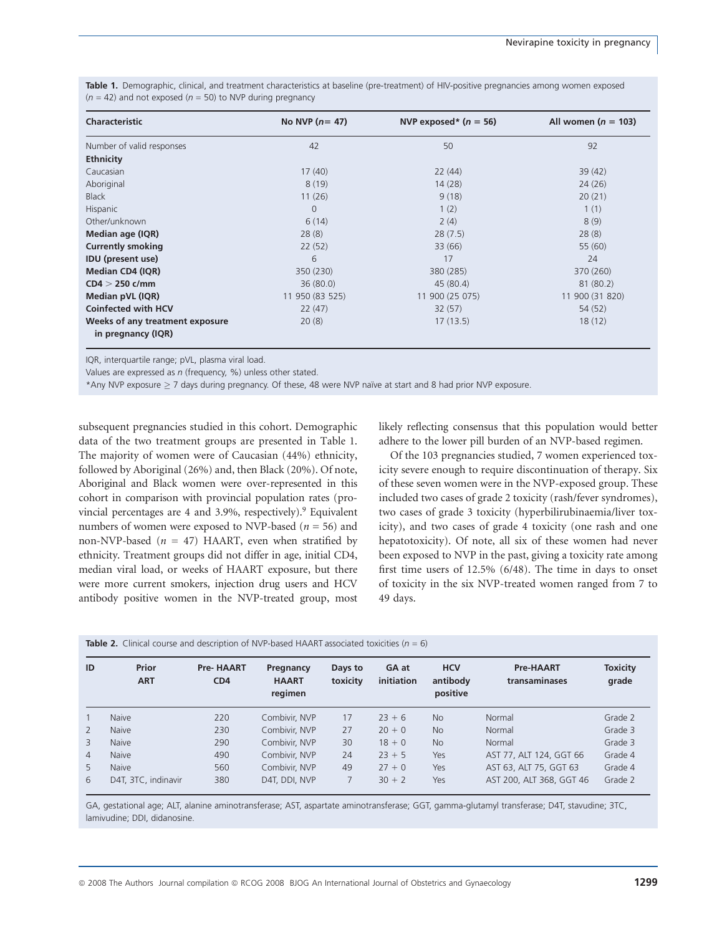| <b>Characteristic</b>                                 | No NVP $(n=47)$ | NVP exposed* $(n = 56)$ | All women ( $n = 103$ ) |  |
|-------------------------------------------------------|-----------------|-------------------------|-------------------------|--|
| Number of valid responses                             | 42              | 50                      | 92                      |  |
| <b>Ethnicity</b>                                      |                 |                         |                         |  |
| Caucasian                                             | 17(40)          | 22(44)                  | 39(42)                  |  |
| Aboriginal                                            | 8(19)           | 14(28)                  | 24(26)                  |  |
| <b>Black</b>                                          | 11(26)          | 9(18)                   | 20(21)                  |  |
| Hispanic                                              | $\Omega$        | 1(2)                    | 1(1)                    |  |
| Other/unknown                                         | 6(14)           | 2(4)                    | 8(9)                    |  |
| Median age (IQR)                                      | 28(8)           | 28(7.5)                 | 28(8)                   |  |
| <b>Currently smoking</b>                              | 22(52)          | 33 (66)                 | 55 (60)                 |  |
| <b>IDU</b> (present use)                              | 6               | 17                      | 24                      |  |
| Median CD4 (IQR)                                      | 350 (230)       | 380 (285)               | 370 (260)               |  |
| $CD4 > 250$ c/mm                                      | 36(80.0)        | 45 (80.4)               | 81 (80.2)               |  |
| Median pVL (IQR)                                      | 11 950 (83 525) | 11 900 (25 075)         | 11 900 (31 820)         |  |
| <b>Coinfected with HCV</b>                            | 22(47)          | 32(57)                  | 54 (52)                 |  |
| Weeks of any treatment exposure<br>in pregnancy (IQR) | 20(8)           | 17(13.5)                | 18(12)                  |  |

Table 1. Demographic, clinical, and treatment characteristics at baseline (pre-treatment) of HIV-positive pregnancies among women exposed  $(n = 42)$  and not exposed  $(n = 50)$  to NVP during pregnancy

IQR, interquartile range; pVL, plasma viral load.

Values are expressed as  $n$  (frequency, %) unless other stated.

\*Any NVP exposure  $\geq$  7 days during pregnancy. Of these, 48 were NVP naïve at start and 8 had prior NVP exposure.

subsequent pregnancies studied in this cohort. Demographic data of the two treatment groups are presented in Table 1. The majority of women were of Caucasian (44%) ethnicity, followed by Aboriginal (26%) and, then Black (20%). Of note, Aboriginal and Black women were over-represented in this cohort in comparison with provincial population rates (provincial percentages are 4 and 3.9%, respectively).9 Equivalent numbers of women were exposed to NVP-based ( $n = 56$ ) and non-NVP-based ( $n = 47$ ) HAART, even when stratified by ethnicity. Treatment groups did not differ in age, initial CD4, median viral load, or weeks of HAART exposure, but there were more current smokers, injection drug users and HCV antibody positive women in the NVP-treated group, most likely reflecting consensus that this population would better adhere to the lower pill burden of an NVP-based regimen.

Of the 103 pregnancies studied, 7 women experienced toxicity severe enough to require discontinuation of therapy. Six of these seven women were in the NVP-exposed group. These included two cases of grade 2 toxicity (rash/fever syndromes), two cases of grade 3 toxicity (hyperbilirubinaemia/liver toxicity), and two cases of grade 4 toxicity (one rash and one hepatotoxicity). Of note, all six of these women had never been exposed to NVP in the past, giving a toxicity rate among first time users of 12.5% (6/48). The time in days to onset of toxicity in the six NVP-treated women ranged from 7 to 49 days.

| <b>Table 2.</b> Clinical course and description of NVP-based HAART associated toxicities ( $n = 6$ ) |  |  |
|------------------------------------------------------------------------------------------------------|--|--|
|------------------------------------------------------------------------------------------------------|--|--|

| ID             | Prior<br><b>ART</b> | <b>Pre-HAART</b><br>CD <sub>4</sub> | Pregnancy<br><b>HAART</b><br>regimen | Days to<br>toxicity | GA at<br>initiation | <b>HCV</b><br>antibody<br>positive | <b>Pre-HAART</b><br>transaminases | <b>Toxicity</b><br>grade |
|----------------|---------------------|-------------------------------------|--------------------------------------|---------------------|---------------------|------------------------------------|-----------------------------------|--------------------------|
|                | Naive               | 220                                 | Combivir, NVP                        | 17                  | $23 + 6$            | <b>No</b>                          | Normal                            | Grade 2                  |
| 2              | <b>Naive</b>        | 230                                 | Combivir, NVP                        | 27                  | $20 + 0$            | <b>No</b>                          | Normal                            | Grade 3                  |
| 3              | <b>Naive</b>        | 290                                 | Combivir, NVP                        | 30                  | $18 + 0$            | <b>No</b>                          | Normal                            | Grade 3                  |
| $\overline{4}$ | <b>Naive</b>        | 490                                 | Combivir, NVP                        | 24                  | $23 + 5$            | Yes                                | AST 77, ALT 124, GGT 66           | Grade 4                  |
| 5              | <b>Naive</b>        | 560                                 | Combivir, NVP                        | 49                  | $27 + 0$            | Yes                                | AST 63, ALT 75, GGT 63            | Grade 4                  |
| 6              | D4T, 3TC, indinavir | 380                                 | D4T, DDI, NVP                        |                     | $30 + 2$            | Yes                                | AST 200, ALT 368, GGT 46          | Grade 2                  |

GA, gestational age; ALT, alanine aminotransferase; AST, aspartate aminotransferase; GGT, gamma-glutamyl transferase; D4T, stavudine; 3TC, lamivudine; DDI, didanosine.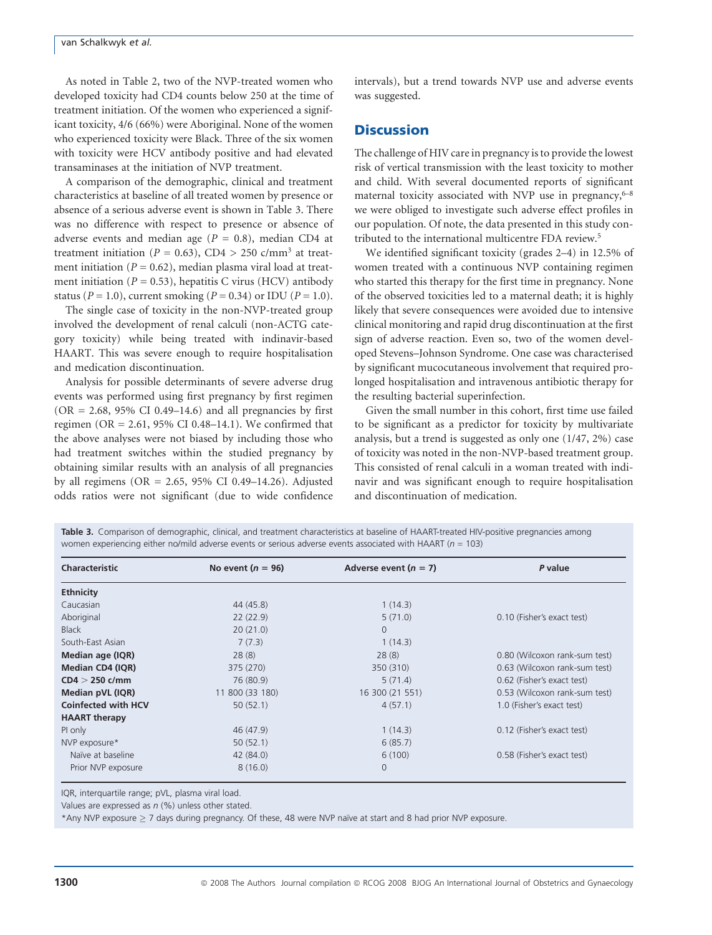As noted in Table 2, two of the NVP-treated women who developed toxicity had CD4 counts below 250 at the time of treatment initiation. Of the women who experienced a significant toxicity, 4/6 (66%) were Aboriginal. None of the women who experienced toxicity were Black. Three of the six women with toxicity were HCV antibody positive and had elevated transaminases at the initiation of NVP treatment.

A comparison of the demographic, clinical and treatment characteristics at baseline of all treated women by presence or absence of a serious adverse event is shown in Table 3. There was no difference with respect to presence or absence of adverse events and median age ( $P = 0.8$ ), median CD4 at treatment initiation ( $P = 0.63$ ), CD4 > 250 c/mm<sup>3</sup> at treatment initiation ( $P = 0.62$ ), median plasma viral load at treatment initiation ( $P = 0.53$ ), hepatitis C virus (HCV) antibody status ( $P = 1.0$ ), current smoking ( $P = 0.34$ ) or IDU ( $P = 1.0$ ).

The single case of toxicity in the non-NVP-treated group involved the development of renal calculi (non-ACTG category toxicity) while being treated with indinavir-based HAART. This was severe enough to require hospitalisation and medication discontinuation.

Analysis for possible determinants of severe adverse drug events was performed using first pregnancy by first regimen  $(OR = 2.68, 95\% \text{ CI } 0.49-14.6)$  and all pregnancies by first regimen (OR = 2.61, 95% CI 0.48–14.1). We confirmed that the above analyses were not biased by including those who had treatment switches within the studied pregnancy by obtaining similar results with an analysis of all pregnancies by all regimens (OR = 2.65, 95% CI 0.49–14.26). Adjusted odds ratios were not significant (due to wide confidence

intervals), but a trend towards NVP use and adverse events was suggested.

#### **Discussion**

The challenge of HIV care in pregnancy is to provide the lowest risk of vertical transmission with the least toxicity to mother and child. With several documented reports of significant maternal toxicity associated with NVP use in pregnancy, $6-8$ we were obliged to investigate such adverse effect profiles in our population. Of note, the data presented in this study contributed to the international multicentre FDA review.5

We identified significant toxicity (grades 2–4) in 12.5% of women treated with a continuous NVP containing regimen who started this therapy for the first time in pregnancy. None of the observed toxicities led to a maternal death; it is highly likely that severe consequences were avoided due to intensive clinical monitoring and rapid drug discontinuation at the first sign of adverse reaction. Even so, two of the women developed Stevens–Johnson Syndrome. One case was characterised by significant mucocutaneous involvement that required prolonged hospitalisation and intravenous antibiotic therapy for the resulting bacterial superinfection.

Given the small number in this cohort, first time use failed to be significant as a predictor for toxicity by multivariate analysis, but a trend is suggested as only one (1/47, 2%) case of toxicity was noted in the non-NVP-based treatment group. This consisted of renal calculi in a woman treated with indinavir and was significant enough to require hospitalisation and discontinuation of medication.

Table 3. Comparison of demographic, clinical, and treatment characteristics at baseline of HAART-treated HIV-positive pregnancies among women experiencing either no/mild adverse events or serious adverse events associated with HAART ( $n = 103$ )

| Characteristic             | No event $(n = 96)$ | Adverse event $(n = 7)$ | P value                       |
|----------------------------|---------------------|-------------------------|-------------------------------|
| <b>Ethnicity</b>           |                     |                         |                               |
| Caucasian                  | 44 (45.8)           | 1(14.3)                 |                               |
| Aboriginal                 | 22(22.9)            | 5(71.0)                 | 0.10 (Fisher's exact test)    |
| <b>Black</b>               | 20(21.0)            | $\Omega$                |                               |
| South-East Asian           | 7(7.3)              | 1(14.3)                 |                               |
| Median age (IQR)           | 28(8)               | 28(8)                   | 0.80 (Wilcoxon rank-sum test) |
| Median CD4 (IQR)           | 375 (270)           | 350 (310)               | 0.63 (Wilcoxon rank-sum test) |
| $CD4 > 250$ c/mm           | 76 (80.9)           | 5(71.4)                 | 0.62 (Fisher's exact test)    |
| Median pVL (IQR)           | 11 800 (33 180)     | 16 300 (21 551)         | 0.53 (Wilcoxon rank-sum test) |
| <b>Coinfected with HCV</b> | 50(52.1)            | 4(57.1)                 | 1.0 (Fisher's exact test)     |
| <b>HAART</b> therapy       |                     |                         |                               |
| PI only                    | 46 (47.9)           | 1(14.3)                 | 0.12 (Fisher's exact test)    |
| NVP exposure*              | 50(52.1)            | 6(85.7)                 |                               |
| Naïve at baseline          | 42 (84.0)           | 6(100)                  | 0.58 (Fisher's exact test)    |
| Prior NVP exposure         | 8(16.0)             | $\Omega$                |                               |

IQR, interquartile range; pVL, plasma viral load.

Values are expressed as  $n$  (%) unless other stated.

\*Any NVP exposure > 7 days during pregnancy. Of these, 48 were NVP naïve at start and 8 had prior NVP exposure.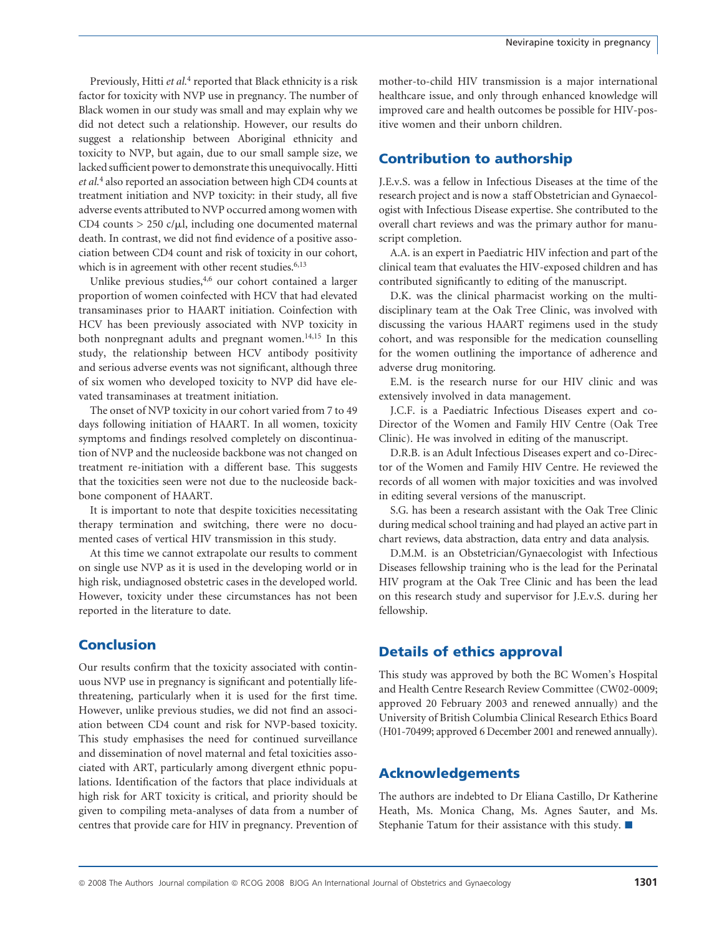Previously, Hitti et al.<sup>4</sup> reported that Black ethnicity is a risk factor for toxicity with NVP use in pregnancy. The number of Black women in our study was small and may explain why we did not detect such a relationship. However, our results do suggest a relationship between Aboriginal ethnicity and toxicity to NVP, but again, due to our small sample size, we lacked sufficient power to demonstrate this unequivocally. Hitti et al.<sup>4</sup> also reported an association between high CD4 counts at treatment initiation and NVP toxicity: in their study, all five adverse events attributed to NVP occurred among women with CD4 counts > 250 c/*m*l, including one documented maternal death. In contrast, we did not find evidence of a positive association between CD4 count and risk of toxicity in our cohort, which is in agreement with other recent studies.<sup>6,13</sup>

Unlike previous studies,4,6 our cohort contained a larger proportion of women coinfected with HCV that had elevated transaminases prior to HAART initiation. Coinfection with HCV has been previously associated with NVP toxicity in both nonpregnant adults and pregnant women.<sup>14,15</sup> In this study, the relationship between HCV antibody positivity and serious adverse events was not significant, although three of six women who developed toxicity to NVP did have elevated transaminases at treatment initiation.

The onset of NVP toxicity in our cohort varied from 7 to 49 days following initiation of HAART. In all women, toxicity symptoms and findings resolved completely on discontinuation of NVP and the nucleoside backbone was not changed on treatment re-initiation with a different base. This suggests that the toxicities seen were not due to the nucleoside backbone component of HAART.

It is important to note that despite toxicities necessitating therapy termination and switching, there were no documented cases of vertical HIV transmission in this study.

At this time we cannot extrapolate our results to comment on single use NVP as it is used in the developing world or in high risk, undiagnosed obstetric cases in the developed world. However, toxicity under these circumstances has not been reported in the literature to date.

# **Conclusion**

Our results confirm that the toxicity associated with continuous NVP use in pregnancy is significant and potentially lifethreatening, particularly when it is used for the first time. However, unlike previous studies, we did not find an association between CD4 count and risk for NVP-based toxicity. This study emphasises the need for continued surveillance and dissemination of novel maternal and fetal toxicities associated with ART, particularly among divergent ethnic populations. Identification of the factors that place individuals at high risk for ART toxicity is critical, and priority should be given to compiling meta-analyses of data from a number of centres that provide care for HIV in pregnancy. Prevention of

mother-to-child HIV transmission is a major international healthcare issue, and only through enhanced knowledge will improved care and health outcomes be possible for HIV-positive women and their unborn children.

## Contribution to authorship

J.E.v.S. was a fellow in Infectious Diseases at the time of the research project and is now a staff Obstetrician and Gynaecologist with Infectious Disease expertise. She contributed to the overall chart reviews and was the primary author for manuscript completion.

A.A. is an expert in Paediatric HIV infection and part of the clinical team that evaluates the HIV-exposed children and has contributed significantly to editing of the manuscript.

D.K. was the clinical pharmacist working on the multidisciplinary team at the Oak Tree Clinic, was involved with discussing the various HAART regimens used in the study cohort, and was responsible for the medication counselling for the women outlining the importance of adherence and adverse drug monitoring.

E.M. is the research nurse for our HIV clinic and was extensively involved in data management.

J.C.F. is a Paediatric Infectious Diseases expert and co-Director of the Women and Family HIV Centre (Oak Tree Clinic). He was involved in editing of the manuscript.

D.R.B. is an Adult Infectious Diseases expert and co-Director of the Women and Family HIV Centre. He reviewed the records of all women with major toxicities and was involved in editing several versions of the manuscript.

S.G. has been a research assistant with the Oak Tree Clinic during medical school training and had played an active part in chart reviews, data abstraction, data entry and data analysis.

D.M.M. is an Obstetrician/Gynaecologist with Infectious Diseases fellowship training who is the lead for the Perinatal HIV program at the Oak Tree Clinic and has been the lead on this research study and supervisor for J.E.v.S. during her fellowship.

# Details of ethics approval

This study was approved by both the BC Women's Hospital and Health Centre Research Review Committee (CW02-0009; approved 20 February 2003 and renewed annually) and the University of British Columbia Clinical Research Ethics Board (H01-70499; approved 6 December 2001 and renewed annually).

## Acknowledgements

The authors are indebted to Dr Eliana Castillo, Dr Katherine Heath, Ms. Monica Chang, Ms. Agnes Sauter, and Ms. Stephanie Tatum for their assistance with this study.  $\blacksquare$